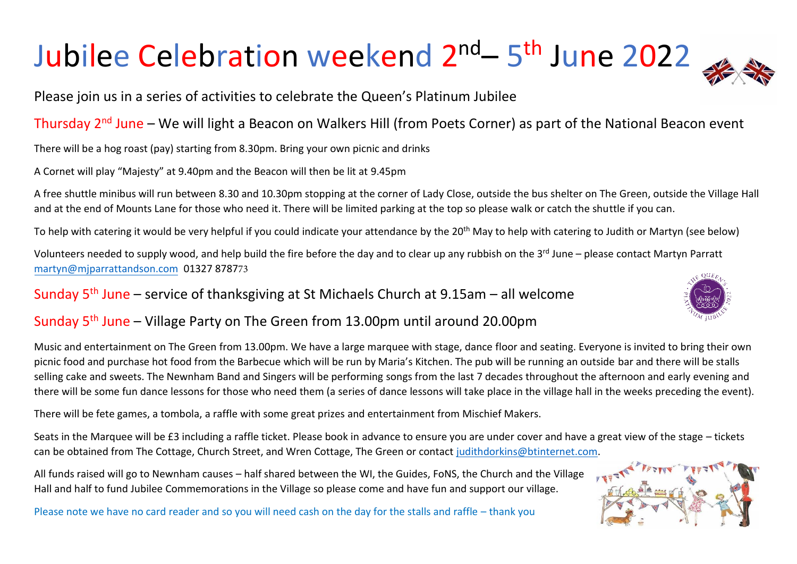# Jubilee Celebration weekend 2<sup>nd</sup> – 5<sup>th</sup> June 2022



Please join us in a series of activities to celebrate the Queen's Platinum Jubilee

## Thursday 2<sup>nd</sup> June – We will light a Beacon on Walkers Hill (from Poets Corner) as part of the National Beacon event

There will be a hog roast (pay) starting from 8.30pm. Bring your own picnic and drinks

A Cornet will play "Majesty" at 9.40pm and the Beacon will then be lit at 9.45pm

A free shuttle minibus will run between 8.30 and 10.30pm stopping at the corner of Lady Close, outside the bus shelter on The Green, outside the Village Hall and at the end of Mounts Lane for those who need it. There will be limited parking at the top so please walk or catch the shuttle if you can.

To help with catering it would be very helpful if you could indicate your attendance by the 20<sup>th</sup> May to help with catering to Judith or Martyn (see below)

Volunteers needed to supply wood, and help build the fire before the day and to clear up any rubbish on the 3<sup>rd</sup> June – please contact Martyn Parratt [martyn@mjparrattandson.com](mailto:martyn@mjparrattandson.com) 01327 878773

Sunday  $5<sup>th</sup>$  June – service of thanksgiving at St Michaels Church at 9.15am – all welcome

#### Sunday 5th June – Village Party on The Green from 13.00pm until around 20.00pm

Music and entertainment on The Green from 13.00pm. We have a large marquee with stage, dance floor and seating. Everyone is invited to bring their own picnic food and purchase hot food from the Barbecue which will be run by Maria's Kitchen. The pub will be running an outside bar and there will be stalls selling cake and sweets. The Newnham Band and Singers will be performing songs from the last 7 decades throughout the afternoon and early evening and there will be some fun dance lessons for those who need them (a series of dance lessons will take place in the village hall in the weeks preceding the event).

There will be fete games, a tombola, a raffle with some great prizes and entertainment from Mischief Makers.

Seats in the Marquee will be £3 including a raffle ticket. Please book in advance to ensure you are under cover and have a great view of the stage – tickets can be obtained from The Cottage, Church Street, and Wren Cottage, The Green or contact [judithdorkins@btinternet.com.](mailto:judithdorkins@btinternet.com)

All funds raised will go to Newnham causes – half shared between the WI, the Guides, FoNS, the Church and the Village Hall and half to fund Jubilee Commemorations in the Village so please come and have fun and support our village.

Please note we have no card reader and so you will need cash on the day for the stalls and raffle – thank you